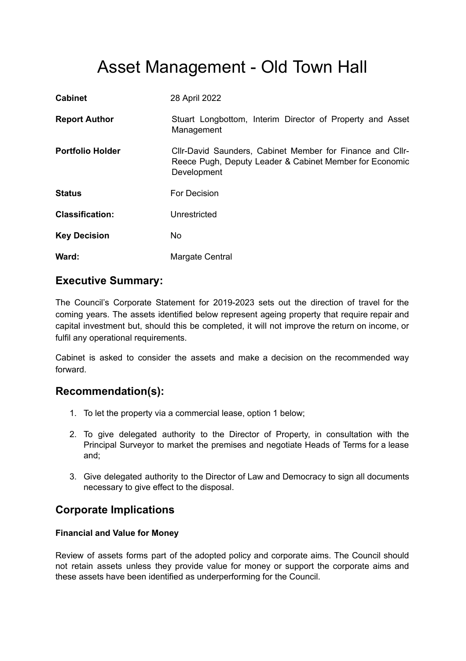# Asset Management - Old Town Hall

| <b>Cabinet</b>          | 28 April 2022                                                                                                                       |
|-------------------------|-------------------------------------------------------------------------------------------------------------------------------------|
| <b>Report Author</b>    | Stuart Longbottom, Interim Director of Property and Asset<br>Management                                                             |
| <b>Portfolio Holder</b> | Cllr-David Saunders, Cabinet Member for Finance and Cllr-<br>Reece Pugh, Deputy Leader & Cabinet Member for Economic<br>Development |
| <b>Status</b>           | For Decision                                                                                                                        |
| <b>Classification:</b>  | Unrestricted                                                                                                                        |
| <b>Key Decision</b>     | No.                                                                                                                                 |
| Ward:                   | Margate Central                                                                                                                     |

# **Executive Summary:**

The Council's Corporate Statement for 2019-2023 sets out the direction of travel for the coming years. The assets identified below represent ageing property that require repair and capital investment but, should this be completed, it will not improve the return on income, or fulfil any operational requirements.

Cabinet is asked to consider the assets and make a decision on the recommended way forward.

# **Recommendation(s):**

- 1. To let the property via a commercial lease, option 1 below;
- 2. To give delegated authority to the Director of Property, in consultation with the Principal Surveyor to market the premises and negotiate Heads of Terms for a lease and;
- 3. Give delegated authority to the Director of Law and Democracy to sign all documents necessary to give effect to the disposal.

# **Corporate Implications**

## **Financial and Value for Money**

Review of assets forms part of the adopted policy and corporate aims. The Council should not retain assets unless they provide value for money or support the corporate aims and these assets have been identified as underperforming for the Council.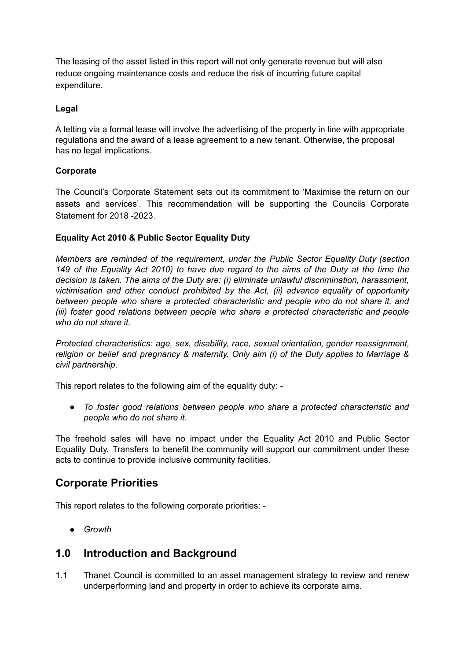The leasing of the asset listed in this report will not only generate revenue but will also reduce ongoing maintenance costs and reduce the risk of incurring future capital expenditure.

## **Legal**

A letting via a formal lease will involve the advertising of the property in line with appropriate regulations and the award of a lease agreement to a new tenant. Otherwise, the proposal has no legal implications.

## **Corporate**

The Council's Corporate Statement sets out its commitment to 'Maximise the return on our assets and services'. This recommendation will be supporting the Councils Corporate Statement for 2018 -2023.

## **Equality Act 2010 & Public Sector Equality Duty**

*Members are reminded of the requirement, under the Public Sector Equality Duty (section* 149 of the Equality Act 2010) to have due regard to the aims of the Duty at the time the *decision is taken. The aims of the Duty are: (i) eliminate unlawful discrimination, harassment, victimisation and other conduct prohibited by the Act, (ii) advance equality of opportunity between people who share a protected characteristic and people who do not share it, and (iii) foster good relations between people who share a protected characteristic and people who do not share it.*

*Protected characteristics: age, sex, disability, race, sexual orientation, gender reassignment, religion or belief and pregnancy & maternity. Only aim (i) of the Duty applies to Marriage & civil partnership*.

This report relates to the following aim of the equality duty: -

*● To foster good relations between people who share a protected characteristic and people who do not share it.*

The freehold sales will have no impact under the Equality Act 2010 and Public Sector Equality Duty. Transfers to benefit the community will support our commitment under these acts to continue to provide inclusive community facilities.

## **Corporate Priorities**

This report relates to the following corporate priorities: -

*● Growth*

## **1.0 Introduction and Background**

1.1 Thanet Council is committed to an asset management strategy to review and renew underperforming land and property in order to achieve its corporate aims.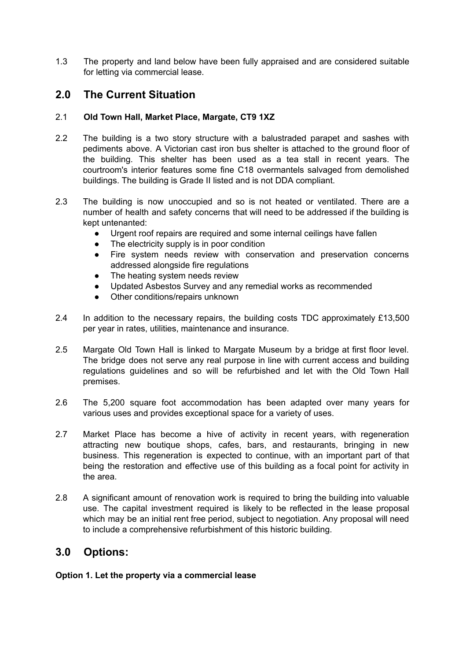1.3 The property and land below have been fully appraised and are considered suitable for letting via commercial lease.

# **2.0 The Current Situation**

## 2.1 **Old Town Hall, Market Place, Margate, CT9 1XZ**

- 2.2 The building is a two story structure with a balustraded parapet and sashes with pediments above. A Victorian cast iron bus shelter is attached to the ground floor of the building. This shelter has been used as a tea stall in recent years. The courtroom's interior features some fine C18 overmantels salvaged from demolished buildings. The building is Grade II listed and is not DDA compliant.
- 2.3 The building is now unoccupied and so is not heated or ventilated. There are a number of health and safety concerns that will need to be addressed if the building is kept untenanted:
	- Urgent roof repairs are required and some internal ceilings have fallen
	- The electricity supply is in poor condition
	- Fire system needs review with conservation and preservation concerns addressed alongside fire regulations
	- The heating system needs review
	- Updated Asbestos Survey and any remedial works as recommended
	- Other conditions/repairs unknown
- 2.4 In addition to the necessary repairs, the building costs TDC approximately £13,500 per year in rates, utilities, maintenance and insurance.
- 2.5 Margate Old Town Hall is linked to Margate Museum by a bridge at first floor level. The bridge does not serve any real purpose in line with current access and building regulations guidelines and so will be refurbished and let with the Old Town Hall premises.
- 2.6 The 5,200 square foot accommodation has been adapted over many years for various uses and provides exceptional space for a variety of uses.
- 2.7 Market Place has become a hive of activity in recent years, with regeneration attracting new boutique shops, cafes, bars, and restaurants, bringing in new business. This regeneration is expected to continue, with an important part of that being the restoration and effective use of this building as a focal point for activity in the area.
- 2.8 A significant amount of renovation work is required to bring the building into valuable use. The capital investment required is likely to be reflected in the lease proposal which may be an initial rent free period, subject to negotiation. Any proposal will need to include a comprehensive refurbishment of this historic building.

# **3.0 Options:**

#### **Option 1. Let the property via a commercial lease**